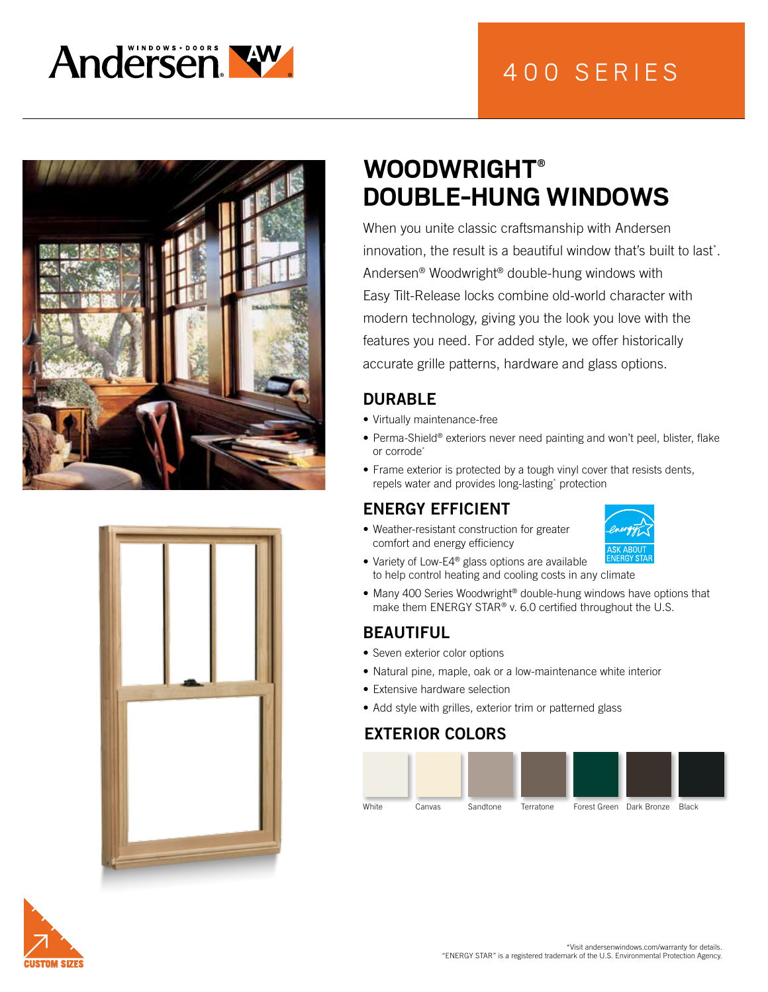





# **WOODWRIGHT® DOUBLE-HUNG WINDOWS**

When you unite classic craftsmanship with Andersen innovation, the result is a beautiful window that's built to last\* . Andersen® Woodwright® double-hung windows with Easy Tilt-Release locks combine old-world character with modern technology, giving you the look you love with the features you need. For added style, we offer historically accurate grille patterns, hardware and glass options.

# DURABLE

- Virtually maintenance-free
- Perma-Shield® exteriors never need painting and won't peel, blister, flake or corrode\*
- Frame exterior is protected by a tough vinyl cover that resists dents, repels water and provides long-lasting\* protection

# ENERGY EFFICIENT

• Weather-resistant construction for greater comfort and energy efficiency



- Variety of Low-E4<sup>®</sup> glass options are available to help control heating and cooling costs in any climate
- Many 400 Series Woodwright® double-hung windows have options that make them ENERGY STAR® v. 6.0 certified throughout the U.S.

# BEAUTIFUL

- Seven exterior color options
- Natural pine, maple, oak or a low-maintenance white interior
- Extensive hardware selection
- Add style with grilles, exterior trim or patterned glass

# EXTERIOR COLORS